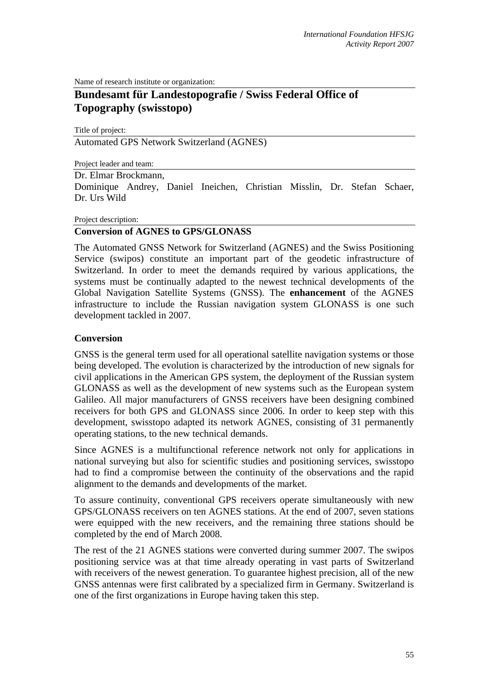Name of research institute or organization:

# **Bundesamt für Landestopografie / Swiss Federal Office of Topography (swisstopo)**

Title of project:

Automated GPS Network Switzerland (AGNES)

Project leader and team:

### Dr. Elmar Brockmann,

Dominique Andrey, Daniel Ineichen, Christian Misslin, Dr. Stefan Schaer, Dr. Urs Wild

#### Project description:

### **Conversion of AGNES to GPS/GLONASS**

The Automated GNSS Network for Switzerland (AGNES) and the Swiss Positioning Service (swipos) constitute an important part of the geodetic infrastructure of Switzerland. In order to meet the demands required by various applications, the systems must be continually adapted to the newest technical developments of the Global Navigation Satellite Systems (GNSS). The **enhancement** of the AGNES infrastructure to include the Russian navigation system GLONASS is one such development tackled in 2007.

### **Conversion**

GNSS is the general term used for all operational satellite navigation systems or those being developed. The evolution is characterized by the introduction of new signals for civil applications in the American GPS system, the deployment of the Russian system GLONASS as well as the development of new systems such as the European system Galileo. All major manufacturers of GNSS receivers have been designing combined receivers for both GPS and GLONASS since 2006. In order to keep step with this development, swisstopo adapted its network AGNES, consisting of 31 permanently operating stations, to the new technical demands.

Since AGNES is a multifunctional reference network not only for applications in national surveying but also for scientific studies and positioning services, swisstopo had to find a compromise between the continuity of the observations and the rapid alignment to the demands and developments of the market.

To assure continuity, conventional GPS receivers operate simultaneously with new GPS/GLONASS receivers on ten AGNES stations. At the end of 2007, seven stations were equipped with the new receivers, and the remaining three stations should be completed by the end of March 2008.

The rest of the 21 AGNES stations were converted during summer 2007. The swipos positioning service was at that time already operating in vast parts of Switzerland with receivers of the newest generation. To guarantee highest precision, all of the new GNSS antennas were first calibrated by a specialized firm in Germany. Switzerland is one of the first organizations in Europe having taken this step.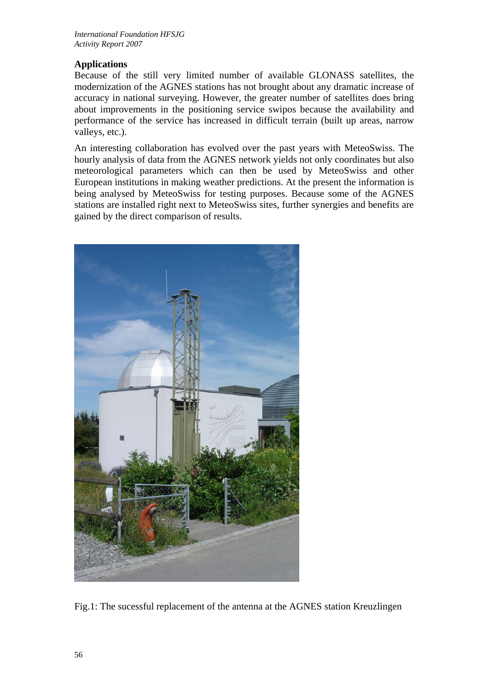## **Applications**

Because of the still very limited number of available GLONASS satellites, the modernization of the AGNES stations has not brought about any dramatic increase of accuracy in national surveying. However, the greater number of satellites does bring about improvements in the positioning service swipos because the availability and performance of the service has increased in difficult terrain (built up areas, narrow valleys, etc.).

An interesting collaboration has evolved over the past years with MeteoSwiss. The hourly analysis of data from the AGNES network yields not only coordinates but also meteorological parameters which can then be used by MeteoSwiss and other European institutions in making weather predictions. At the present the information is being analysed by MeteoSwiss for testing purposes. Because some of the AGNES stations are installed right next to MeteoSwiss sites, further synergies and benefits are gained by the direct comparison of results.



Fig.1: The sucessful replacement of the antenna at the AGNES station Kreuzlingen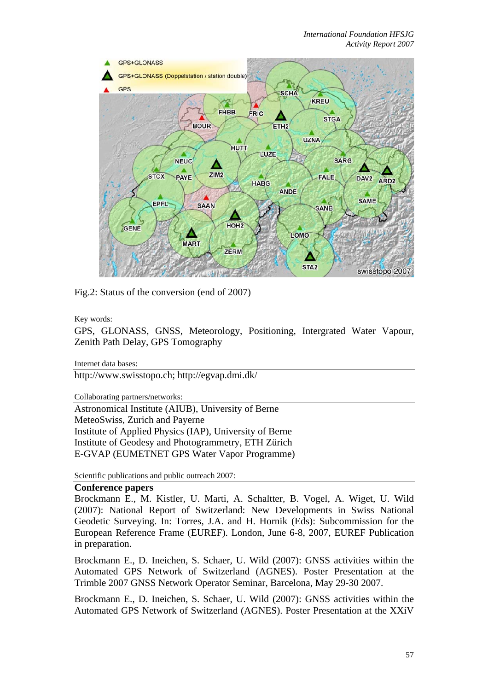

Fig.2: Status of the conversion (end of 2007)

Key words:

GPS, GLONASS, GNSS, Meteorology, Positioning, Intergrated Water Vapour, Zenith Path Delay, GPS Tomography

Internet data bases:

http://www.swisstopo.ch; http://egvap.dmi.dk/

Collaborating partners/networks:

Astronomical Institute (AIUB), University of Berne MeteoSwiss, Zurich and Payerne Institute of Applied Physics (IAP), University of Berne Institute of Geodesy and Photogrammetry, ETH Zürich E-GVAP (EUMETNET GPS Water Vapor Programme)

Scientific publications and public outreach 2007:

### **Conference papers**

Brockmann E., M. Kistler, U. Marti, A. Schaltter, B. Vogel, A. Wiget, U. Wild (2007): National Report of Switzerland: New Developments in Swiss National Geodetic Surveying. In: Torres, J.A. and H. Hornik (Eds): Subcommission for the European Reference Frame (EUREF). London, June 6-8, 2007, EUREF Publication in preparation.

Brockmann E., D. Ineichen, S. Schaer, U. Wild (2007): GNSS activities within the Automated GPS Network of Switzerland (AGNES). Poster Presentation at the Trimble 2007 GNSS Network Operator Seminar, Barcelona, May 29-30 2007.

Brockmann E., D. Ineichen, S. Schaer, U. Wild (2007): GNSS activities within the Automated GPS Network of Switzerland (AGNES). Poster Presentation at the XXiV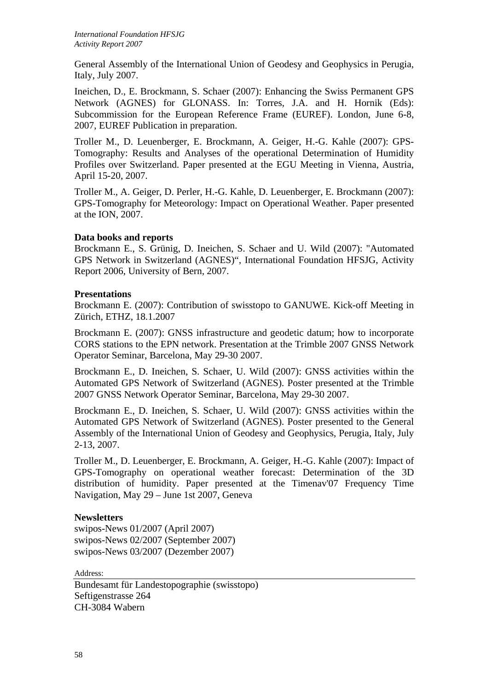General Assembly of the International Union of Geodesy and Geophysics in Perugia, Italy, July 2007.

Ineichen, D., E. Brockmann, S. Schaer (2007): Enhancing the Swiss Permanent GPS Network (AGNES) for GLONASS. In: Torres, J.A. and H. Hornik (Eds): Subcommission for the European Reference Frame (EUREF). London, June 6-8, 2007, EUREF Publication in preparation.

Troller M., D. Leuenberger, E. Brockmann, A. Geiger, H.-G. Kahle (2007): GPS-Tomography: Results and Analyses of the operational Determination of Humidity Profiles over Switzerland. Paper presented at the EGU Meeting in Vienna, Austria, April 15-20, 2007.

Troller M., A. Geiger, D. Perler, H.-G. Kahle, D. Leuenberger, E. Brockmann (2007): GPS-Tomography for Meteorology: Impact on Operational Weather. Paper presented at the ION, 2007.

### **Data books and reports**

Brockmann E., S. Grünig, D. Ineichen, S. Schaer and U. Wild (2007): "Automated GPS Network in Switzerland (AGNES)", International Foundation HFSJG, Activity Report 2006, University of Bern, 2007.

### **Presentations**

Brockmann E. (2007): Contribution of swisstopo to GANUWE. Kick-off Meeting in Zürich, ETHZ, 18.1.2007

Brockmann E. (2007): GNSS infrastructure and geodetic datum; how to incorporate CORS stations to the EPN network. Presentation at the Trimble 2007 GNSS Network Operator Seminar, Barcelona, May 29-30 2007.

Brockmann E., D. Ineichen, S. Schaer, U. Wild (2007): GNSS activities within the Automated GPS Network of Switzerland (AGNES). Poster presented at the Trimble 2007 GNSS Network Operator Seminar, Barcelona, May 29-30 2007.

Brockmann E., D. Ineichen, S. Schaer, U. Wild (2007): GNSS activities within the Automated GPS Network of Switzerland (AGNES). Poster presented to the General Assembly of the International Union of Geodesy and Geophysics, Perugia, Italy, July 2-13, 2007.

Troller M., D. Leuenberger, E. Brockmann, A. Geiger, H.-G. Kahle (2007): Impact of GPS-Tomography on operational weather forecast: Determination of the 3D distribution of humidity. Paper presented at the Timenav'07 Frequency Time Navigation, May 29 – June 1st 2007, Geneva

### **Newsletters**

swipos-News 01/2007 (April 2007) swipos-News 02/2007 (September 2007) swipos-News 03/2007 (Dezember 2007)

Address:

Bundesamt für Landestopographie (swisstopo) Seftigenstrasse 264 CH-3084 Wabern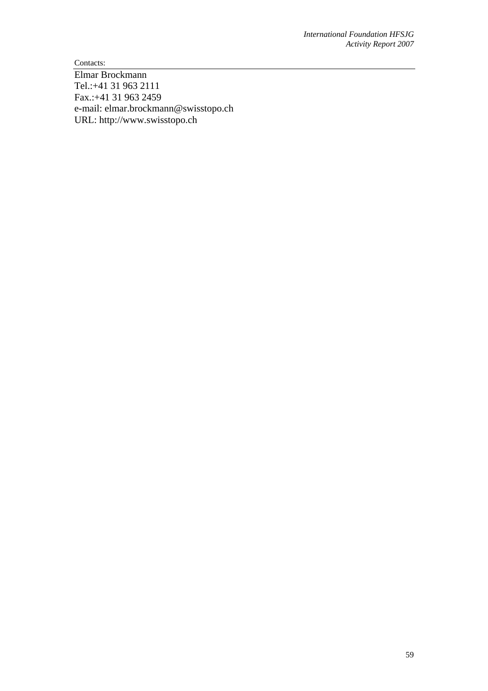Contacts:

Elmar Brockmann Tel.:+41 31 963 2111 Fax.:+41 31 963 2459 e-mail: elmar.brockmann@swisstopo.ch URL: http://www.swisstopo.ch